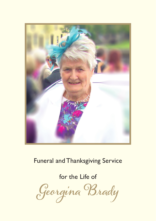

# Funeral and Thanksgiving Service

for the Life of

**Georgina Brady**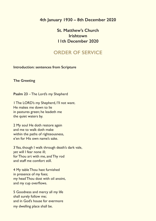### **4th January 1930 – 8th December 2020**

## **St. Matthew's Church Irishtown 11th December 2020**

# **ORDER OF SERVICE**

**Introduction: sentences from Scripture**

**The Greeting**

**Psalm 23** – The Lord's my Shepherd

1 The LORD's my Shepherd, I'll not want. He makes me down to lie in pastures green; he leadeth me the quiet waters by.

2 My soul He doth restore again and me to walk doth make within the paths of righteousness, e'en for His own name's sake.

3 Yea, though I walk through death's dark vale, yet will I fear none ill; for Thou art with me, and Thy rod and staff me comfort still.

4 My table Thou hast furnished in presence of my foes; my head Thou dost with oil anoint, and my cup overflows.

5 Goodness and mercy all my life shall surely follow me; and in God's house for evermore my dwelling place shall be.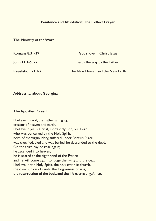#### **Penitence and Absolution; The Collect Prayer**

#### **The Ministry of the Word**

| <b>Romans 8:31-39</b>    | God's love in Christ Jesus       |
|--------------------------|----------------------------------|
| John 14:1-6, 27          | lesus the way to the Father      |
| <b>Revelation 21:1-7</b> | The New Heaven and the New Earth |

**Address … about Georgina**

#### **The Apostles' Creed**

I believe in God, the Father almighty, creator of heaven and earth. I believe in Jesus Christ, God's only Son, our Lord who was conceived by the Holy Spirit, born of the Virgin Mary, suffered under Pontius Pilate, was crucified, died and was buried; he descended to the dead. On the third day he rose again; he ascended into heaven, he is seated at the right hand of the Father, and he will come again to judge the living and the dead. I believe in the Holy Spirit, the holy catholic church, the communion of saints, the forgiveness of sins, the resurrection of the body, and the life everlasting. Amen.